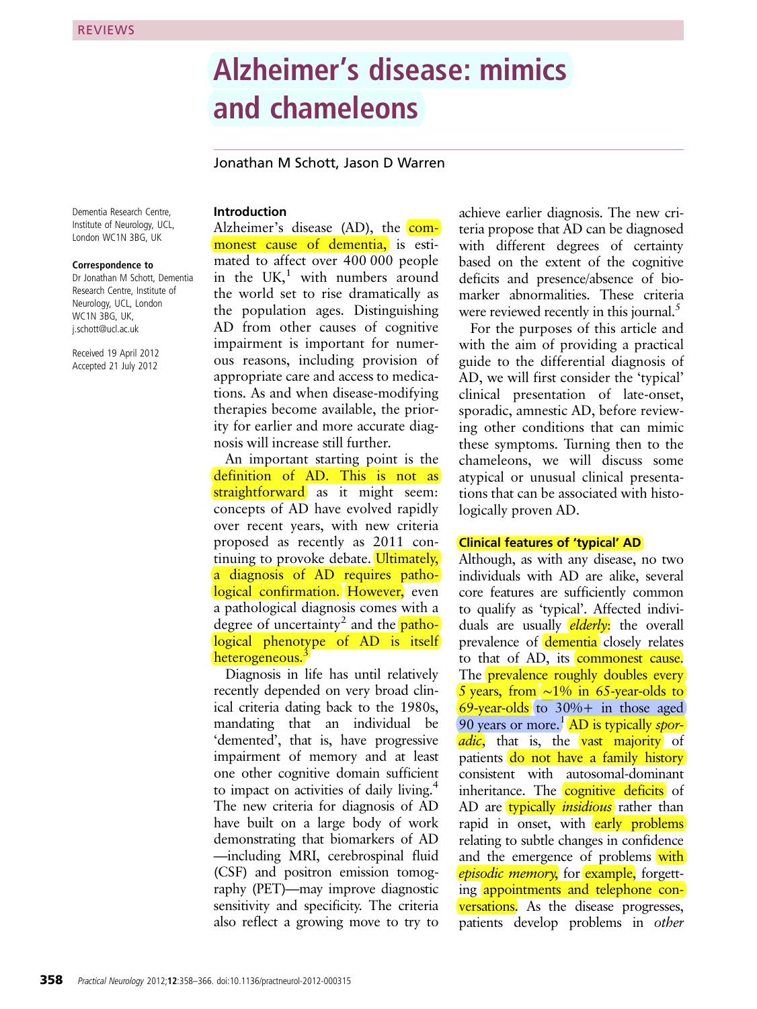# Alzheimer's disease: mimics and chameleons

Jonathan M Schott, Jason D Warren

Dementia Research Centre, Institute of Neurology, UCL, London WC1N 3BG, UK

### Correspondence to

Dr Jonathan M Schott, Dementia Research Centre, Institute of Neurology, UCL, London WC1N 3BG, UK, j.schott@ucl.ac.uk

Received 19 April 2012 Accepted 21 July 2012

# Introduction

Alzheimer's disease (AD), the commonest cause of dementia, is estimated to affect over 400 000 people in the  $UK<sub>1</sub><sup>1</sup>$  with numbers around the world set to rise dramatically as the population ages. Distinguishing AD from other causes of cognitive impairment is important for numerous reasons, including provision of appropriate care and access to medications. As and when disease-modifying therapies become available, the priority for earlier and more accurate diagnosis will increase still further.

An important starting point is the definition of AD. This is not as straightforward as it might seem: concepts of AD have evolved rapidly over recent years, with new criteria proposed as recently as 2011 continuing to provoke debate. Ultimately, a diagnosis of AD requires pathological confirmation. However, even a pathological diagnosis comes with a degree of uncertainty<sup>2</sup> and the  $patho$ logical phenotype of AD is itself heterogeneous.

Diagnosis in life has until relatively recently depended on very broad clinical criteria dating back to the 1980s, mandating that an individual be 'demented', that is, have progressive impairment of memory and at least one other cognitive domain sufficient to impact on activities of daily living.<sup>4</sup> The new criteria for diagnosis of AD have built on a large body of work demonstrating that biomarkers of AD —including MRI, cerebrospinal fluid (CSF) and positron emission tomography (PET)—may improve diagnostic sensitivity and specificity. The criteria also reflect a growing move to try to

achieve earlier diagnosis. The new criteria propose that AD can be diagnosed with different degrees of certainty based on the extent of the cognitive deficits and presence/absence of biomarker abnormalities. These criteria were reviewed recently in this journal.<sup>5</sup>

For the purposes of this article and with the aim of providing a practical guide to the differential diagnosis of AD, we will first consider the 'typical' clinical presentation of late-onset, sporadic, amnestic AD, before reviewing other conditions that can mimic these symptoms. Turning then to the chameleons, we will discuss some atypical or unusual clinical presentations that can be associated with histologically proven AD.

# Clinical features of 'typical' AD

Although, as with any disease, no two individuals with AD are alike, several core features are sufficiently common to qualify as 'typical'. Affected individuals are usually *elderly*: the overall prevalence of **dementia** closely relates to that of AD, its commonest cause. The **prevalence roughly doubles every** 5 years, from ∼1% in 65-year-olds to  $\overline{69}$ -year-olds to 30% + in those aged 90 years or more.<sup>1</sup> AD is typically *sporadic*, that is, the vast majority of patients do not have a family history consistent with autosomal-dominant inheritance. The **cognitive deficits** of AD are typically *insidious* rather than rapid in onset, with early problems relating to subtle changes in confidence and the emergence of problems with episodic memory, for example, forgetting appointments and telephone con**versations.** As the disease progresses, patients develop problems in other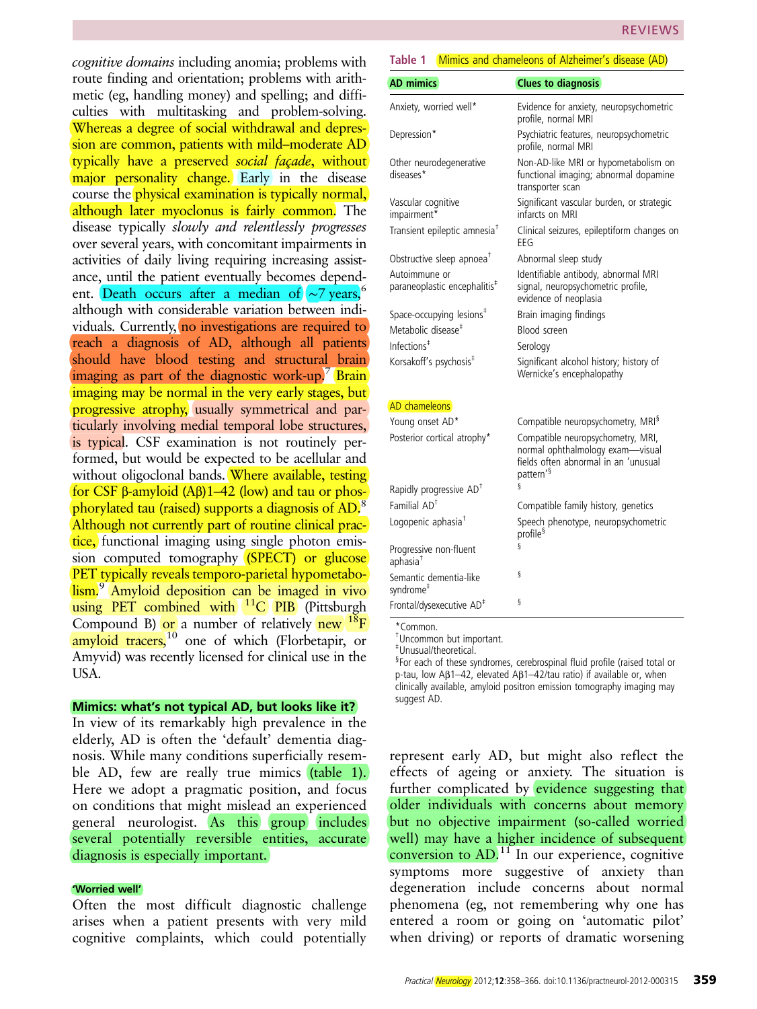cognitive domains including anomia; problems with route finding and orientation; problems with arithmetic (eg, handling money) and spelling; and difficulties with multitasking and problem-solving. Whereas a degree of social withdrawal and depression are common, patients with mild–moderate AD typically have a preserved social façade, without major personality change. Early in the disease course the physical examination is typically normal, although later myoclonus is fairly common. The disease typically slowly and relentlessly progresses over several years, with concomitant impairments in activities of daily living requiring increasing assistance, until the patient eventually becomes dependent. Death occurs after a median of ∼7 years,<sup>6</sup> although with considerable variation between individuals. Currently, no investigations are required to reach a diagnosis of AD, although all patients should have blood testing and structural brain imaging as part of the diagnostic work-up.<sup>7</sup> Brain imaging may be normal in the very early stages, but progressive atrophy, usually symmetrical and particularly involving medial temporal lobe structures, is typical. CSF examination is not routinely performed, but would be expected to be acellular and without oligoclonal bands. Where available, testing for CSF β-amyloid (Aβ)1–42 (low) and tau or phosphorylated tau (raised) supports a diagnosis of AD.8 Although not currently part of routine clinical practice, functional imaging using single photon emission computed tomography (SPECT) or glucose PET typically reveals temporo-parietal hypometabolism.9 Amyloid deposition can be imaged in vivo using PET combined with  $11C$  PIB (Pittsburgh Compound B) or a number of relatively  $new$  <sup>18</sup>F  $amyloid$  tracers,  $10$  one of which (Florbetapir, or Amyvid) was recently licensed for clinical use in the USA.

# Mimics: what's not typical AD, but looks like it?

In view of its remarkably high prevalence in the elderly, AD is often the 'default' dementia diagnosis. While many conditions superficially resemble AD, few are really true mimics *(table 1)*. Here we adopt a pragmatic position, and focus on conditions that might mislead an experienced general neurologist. As this group includes several potentially reversible entities, accurate diagnosis is especially important.

# 'Worried well'

Often the most difficult diagnostic challenge arises when a patient presents with very mild cognitive complaints, which could potentially

### Table 1 Mimics and chameleons of Alzheimer's disease (AD)

| <b>AD mimics</b>                                          | <b>Clues to diagnosis</b>                                                                                                              |
|-----------------------------------------------------------|----------------------------------------------------------------------------------------------------------------------------------------|
| Anxiety, worried well*                                    | Evidence for anxiety, neuropsychometric<br>profile, normal MRI                                                                         |
| Depression*                                               | Psychiatric features, neuropsychometric<br>profile, normal MRI                                                                         |
| Other neurodegenerative<br>diseases*                      | Non-AD-like MRI or hypometabolism on<br>functional imaging; abnormal dopamine<br>transporter scan                                      |
| Vascular cognitive<br>impairment*                         | Significant vascular burden, or strategic<br>infarcts on MRI                                                                           |
| Transient epileptic amnesia <sup>+</sup>                  | Clinical seizures, epileptiform changes on<br>FFG                                                                                      |
| Obstructive sleep apnoea <sup>+</sup>                     | Abnormal sleep study                                                                                                                   |
| Autoimmune or<br>paraneoplastic encephalitis <sup>+</sup> | Identifiable antibody, abnormal MRI<br>signal, neuropsychometric profile,<br>evidence of neoplasia                                     |
| Space-occupying lesions <sup>+</sup>                      | Brain imaging findings                                                                                                                 |
| Metabolic disease <sup>#</sup>                            | Blood screen                                                                                                                           |
| Infections <sup>#</sup>                                   | Serology                                                                                                                               |
| Korsakoff's psychosis <sup>#</sup>                        | Significant alcohol history; history of<br>Wernicke's encephalopathy                                                                   |
| AD chameleons                                             |                                                                                                                                        |
| Young onset AD*                                           | Compatible neuropsychometry, MRI <sup>§</sup>                                                                                          |
| Posterior cortical atrophy*                               | Compatible neuropsychometry, MRI,<br>normal ophthalmology exam-visual<br>fields often abnormal in an 'unusual<br>pattern' <sup>§</sup> |
| Rapidly progressive AD <sup>+</sup>                       | ξ                                                                                                                                      |
| Familial AD <sup>+</sup>                                  | Compatible family history, genetics                                                                                                    |
| Logopenic aphasia <sup>T</sup>                            | Speech phenotype, neuropsychometric<br>profile <sup>§</sup>                                                                            |
| Progressive non-fluent<br>aphasia <sup>†</sup>            | ş                                                                                                                                      |
| Semantic dementia-like<br>syndrome <sup>#</sup>           | ş                                                                                                                                      |
| Frontal/dysexecutive AD <sup>+</sup>                      | ş                                                                                                                                      |

\*Common.

† Uncommon but important.

‡ Unusual/theoretical.

§ For each of these syndromes, cerebrospinal fluid profile (raised total or p-tau, low Aβ1–42, elevated Aβ1–42/tau ratio) if available or, when clinically available, amyloid positron emission tomography imaging may suggest AD.

represent early AD, but might also reflect the effects of ageing or anxiety. The situation is further complicated by evidence suggesting that older individuals with concerns about memory but no objective impairment (so-called worried well) may have a higher incidence of subsequent conversion to  $AD<sup>11</sup>$ . In our experience, cognitive symptoms more suggestive of anxiety than degeneration include concerns about normal phenomena (eg, not remembering why one has entered a room or going on 'automatic pilot' when driving) or reports of dramatic worsening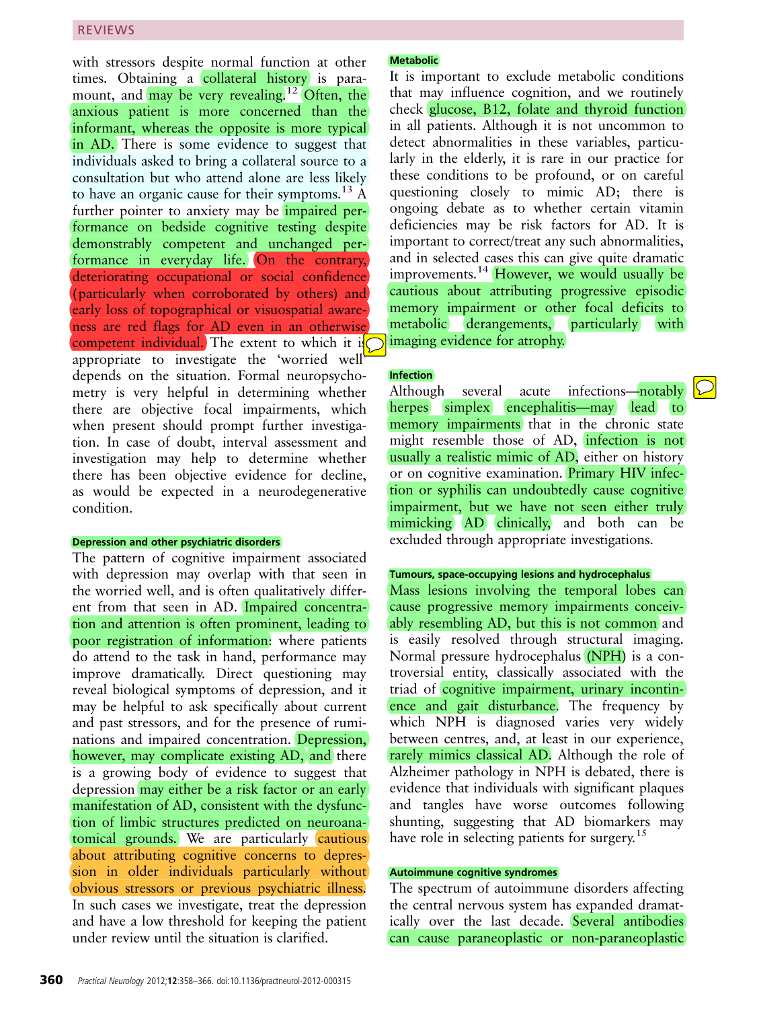with stressors despite normal function at other times. Obtaining a collateral history is paramount, and may be very revealing.<sup>12</sup> Often, the anxious patient is more concerned than the informant, whereas the opposite is more typical in AD. There is some evidence to suggest that individuals asked to bring a collateral source to a consultation but who attend alone are less likely to have an organic cause for their symptoms.<sup>13</sup> A further pointer to anxiety may be impaired performance on bedside cognitive testing despite demonstrably competent and unchanged performance in everyday life. On the contrary, deteriorating occupational or social confidence (particularly when corroborated by others) and early loss of topographical or visuospatial awareness are red flags for AD even in an otherwise competent individual. The extent to which it is appropriate to investigate the 'worried well' depends on the situation. Formal neuropsychometry is very helpful in determining whether there are objective focal impairments, which when present should prompt further investigation. In case of doubt, interval assessment and investigation may help to determine whether there has been objective evidence for decline, as would be expected in a neurodegenerative condition.

### Depression and other psychiatric disorders

The pattern of cognitive impairment associated with depression may overlap with that seen in the worried well, and is often qualitatively different from that seen in AD. Impaired concentration and attention is often prominent, leading to poor registration of information: where patients do attend to the task in hand, performance may improve dramatically. Direct questioning may reveal biological symptoms of depression, and it may be helpful to ask specifically about current and past stressors, and for the presence of ruminations and impaired concentration. Depression, however, may complicate existing AD, and there is a growing body of evidence to suggest that depression may either be a risk factor or an early manifestation of AD, consistent with the dysfunction of limbic structures predicted on neuroanatomical grounds. We are particularly cautious about attributing cognitive concerns to depression in older individuals particularly without obvious stressors or previous psychiatric illness. In such cases we investigate, treat the depression and have a low threshold for keeping the patient under review until the situation is clarified.

### **Metabolic**

It is important to exclude metabolic conditions that may influence cognition, and we routinely check glucose, B12, folate and thyroid function in all patients. Although it is not uncommon to detect abnormalities in these variables, particularly in the elderly, it is rare in our practice for these conditions to be profound, or on careful questioning closely to mimic AD; there is ongoing debate as to whether certain vitamin deficiencies may be risk factors for AD. It is important to correct/treat any such abnormalities, and in selected cases this can give quite dramatic improvements.<sup>14</sup> However, we would usually be cautious about attributing progressive episodic memory impairment or other focal deficits to metabolic derangements, particularly with imaging evidence for atrophy.

# **Infection**

Although several acute infections—notably herpes simplex encephalitis—may lead to memory impairments that in the chronic state might resemble those of AD, infection is not usually a realistic mimic of AD, either on history or on cognitive examination. Primary HIV infection or syphilis can undoubtedly cause cognitive impairment, but we have not seen either truly mimicking AD clinically, and both can be excluded through appropriate investigations.

### Tumours, space-occupying lesions and hydrocephalus

Mass lesions involving the temporal lobes can cause progressive memory impairments conceivably resembling AD, but this is not common and is easily resolved through structural imaging. Normal pressure hydrocephalus (NPH) is a controversial entity, classically associated with the triad of cognitive impairment, urinary incontinence and gait disturbance. The frequency by which NPH is diagnosed varies very widely between centres, and, at least in our experience, rarely mimics classical AD. Although the role of Alzheimer pathology in NPH is debated, there is evidence that individuals with significant plaques and tangles have worse outcomes following shunting, suggesting that AD biomarkers may have role in selecting patients for surgery.<sup>15</sup>

# Autoimmune cognitive syndromes

The spectrum of autoimmune disorders affecting the central nervous system has expanded dramatically over the last decade. Several antibodies can cause paraneoplastic or non-paraneoplastic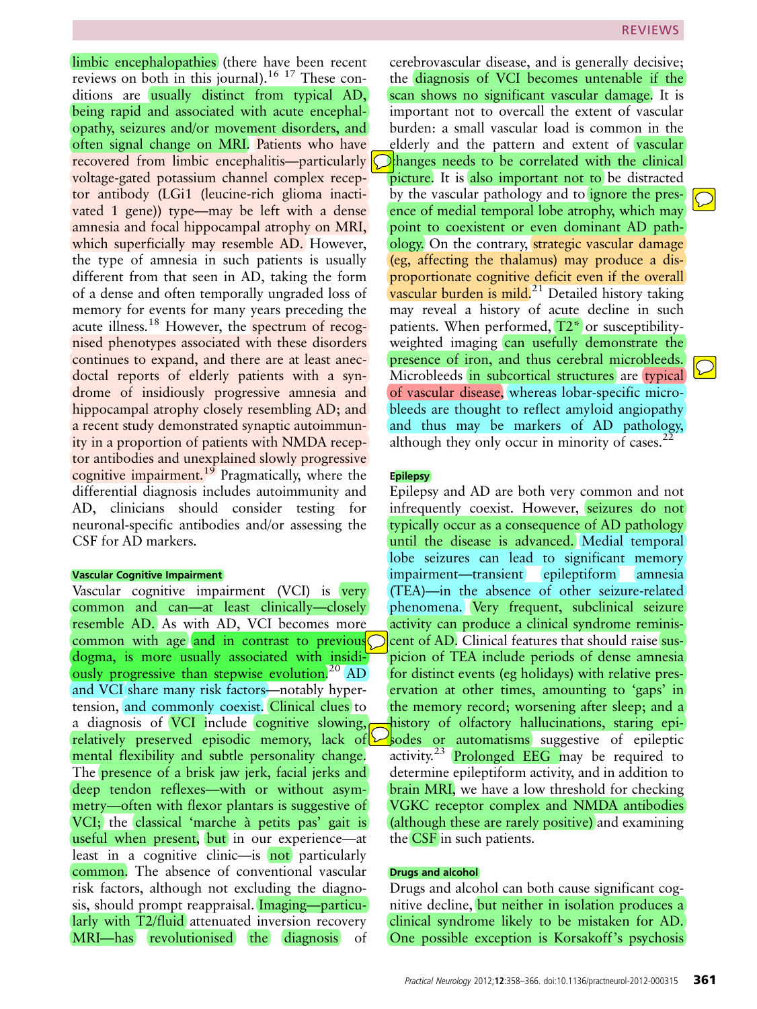limbic encephalopathies (there have been recent reviews on both in this journal).<sup>16 17</sup> These conditions are usually distinct from typical AD, being rapid and associated with acute encephalopathy, seizures and/or movement disorders, and often signal change on MRI. Patients who have recovered from limbic encephalitis—particularly  $\bigcirc$  hanges needs to be correlated with the clinical voltage-gated potassium channel complex receptor antibody (LGi1 (leucine-rich glioma inactivated 1 gene)) type—may be left with a dense amnesia and focal hippocampal atrophy on MRI, which superficially may resemble AD. However, the type of amnesia in such patients is usually different from that seen in AD, taking the form of a dense and often temporally ungraded loss of memory for events for many years preceding the acute illness.<sup>18</sup> However, the **spectrum** of recognised phenotypes associated with these disorders continues to expand, and there are at least anecdoctal reports of elderly patients with a syndrome of insidiously progressive amnesia and hippocampal atrophy closely resembling AD; and a recent study demonstrated synaptic autoimmunity in a proportion of patients with NMDA receptor antibodies and unexplained slowly progressive cognitive impairment.<sup>19</sup> Pragmatically, where the differential diagnosis includes autoimmunity and AD, clinicians should consider testing for neuronal-specific antibodies and/or assessing the CSF for AD markers.

### Vascular Cognitive Impairment

Vascular cognitive impairment (VCI) is very common and can—at least clinically—closely resemble AD. As with AD, VCI becomes more common with age and in contrast to previous dogma, is more usually associated with insidiously progressive than stepwise evolution.<sup>20</sup> AD and VCI share many risk factors—notably hypertension, and commonly coexist. Clinical clues to a diagnosis of VCI include cognitive slowing, relatively preserved episodic memory, lack of mental flexibility and subtle personality change. The presence of a brisk jaw jerk, facial jerks and deep tendon reflexes—with or without asymmetry—often with flexor plantars is suggestive of VCI; the classical 'marche à petits pas' gait is useful when present, but in our experience—at least in a cognitive clinic—is not particularly common. The absence of conventional vascular risk factors, although not excluding the diagnosis, should prompt reappraisal. Imaging—particularly with T2/fluid attenuated inversion recovery MRI—has revolutionised the diagnosis of

cerebrovascular disease, and is generally decisive; the diagnosis of VCI becomes untenable if the scan shows no significant vascular damage. It is important not to overcall the extent of vascular burden: a small vascular load is common in the elderly and the pattern and extent of vascular picture. It is also important not to be distracted by the vascular pathology and to ignore the presence of medial temporal lobe atrophy, which may point to coexistent or even dominant AD pathology. On the contrary, strategic vascular damage (eg, affecting the thalamus) may produce a disproportionate cognitive deficit even if the overall vascular burden is mild.<sup>21</sup> Detailed history taking may reveal a history of acute decline in such patients. When performed,  $T2^*$  or susceptibilityweighted imaging can usefully demonstrate the presence of iron, and thus cerebral microbleeds. Microbleeds in subcortical structures are typical of vascular disease, whereas lobar-specific microbleeds are thought to reflect amyloid angiopathy and thus may be markers of AD pathology, although they only occur in minority of cases. $<sup>2</sup>$ </sup>

# Epilepsy

Epilepsy and AD are both very common and not infrequently coexist. However, seizures do not typically occur as a consequence of AD pathology until the disease is advanced. Medial temporal lobe seizures can lead to significant memory impairment—transient epileptiform amnesia (TEA)—in the absence of other seizure-related phenomena. Very frequent, subclinical seizure activity can produce a clinical syndrome reminiscent of AD. Clinical features that should raise suspicion of TEA include periods of dense amnesia for distinct events (eg holidays) with relative preservation at other times, amounting to 'gaps' in the memory record; worsening after sleep; and a history of olfactory hallucinations, staring episodes or automatisms suggestive of epileptic activity.<sup>23</sup> Prolonged EEG may be required to determine epileptiform activity, and in addition to brain MRI, we have a low threshold for checking VGKC receptor complex and NMDA antibodies (although these are rarely positive) and examining the CSF in such patients.

# Drugs and alcohol

Drugs and alcohol can both cause significant cognitive decline, but neither in isolation produces a clinical syndrome likely to be mistaken for AD. One possible exception is Korsakoff's psychosis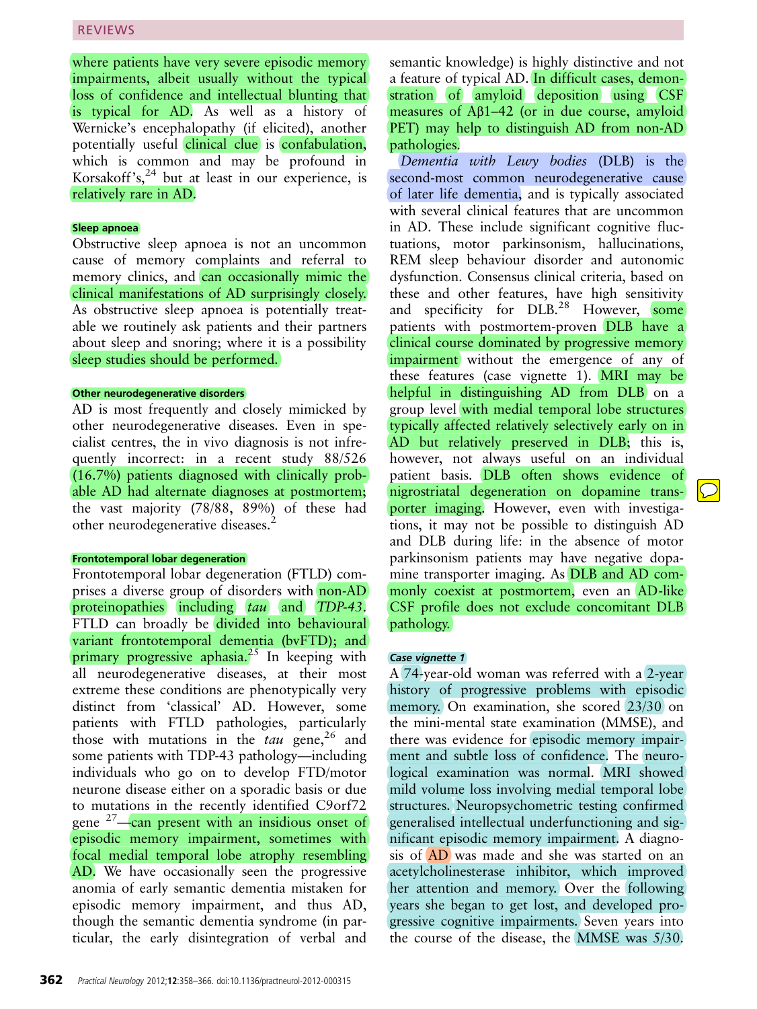where patients have very severe episodic memory impairments, albeit usually without the typical loss of confidence and intellectual blunting that is typical for AD. As well as a history of Wernicke's encephalopathy (if elicited), another potentially useful clinical clue is confabulation, which is common and may be profound in Korsakoff's,24 but at least in our experience, is relatively rare in AD.

# Sleep apnoea

Obstructive sleep apnoea is not an uncommon cause of memory complaints and referral to memory clinics, and can occasionally mimic the clinical manifestations of AD surprisingly closely. As obstructive sleep apnoea is potentially treatable we routinely ask patients and their partners about sleep and snoring; where it is a possibility sleep studies should be performed.

### Other neurodegenerative disorders

AD is most frequently and closely mimicked by other neurodegenerative diseases. Even in specialist centres, the in vivo diagnosis is not infrequently incorrect: in a recent study 88/526 (16.7%) patients diagnosed with clinically probable AD had alternate diagnoses at postmortem; the vast majority (78/88, 89%) of these had other neurodegenerative diseases.<sup>2</sup>

### Frontotemporal lobar degeneration

Frontotemporal lobar degeneration (FTLD) comprises a diverse group of disorders with non-AD proteinopathies including tau and TDP-43. FTLD can broadly be divided into behavioural variant frontotemporal dementia (bvFTD); and primary progressive aphasia.<sup>25</sup> In keeping with all neurodegenerative diseases, at their most extreme these conditions are phenotypically very distinct from 'classical' AD. However, some patients with FTLD pathologies, particularly those with mutations in the  $tau$  gene,  $26$  and some patients with TDP-43 pathology—including individuals who go on to develop FTD/motor neurone disease either on a sporadic basis or due to mutations in the recently identified C9orf72 gene  $27$ —can present with an insidious onset of episodic memory impairment, sometimes with focal medial temporal lobe atrophy resembling AD. We have occasionally seen the progressive anomia of early semantic dementia mistaken for episodic memory impairment, and thus AD, though the semantic dementia syndrome (in particular, the early disintegration of verbal and

semantic knowledge) is highly distinctive and not a feature of typical AD. In difficult cases, demonstration of amyloid deposition using CSF measures of Aβ1–42 (or in due course, amyloid PET) may help to distinguish AD from non-AD pathologies.

Dementia with Lewy bodies (DLB) is the second-most common neurodegenerative cause of later life dementia, and is typically associated with several clinical features that are uncommon in AD. These include significant cognitive fluctuations, motor parkinsonism, hallucinations, REM sleep behaviour disorder and autonomic dysfunction. Consensus clinical criteria, based on these and other features, have high sensitivity and specificity for DLB.<sup>28</sup> However, some patients with postmortem-proven DLB have a clinical course dominated by progressive memory impairment without the emergence of any of these features (case vignette 1). MRI may be helpful in distinguishing AD from DLB on a group level with medial temporal lobe structures typically affected relatively selectively early on in AD but relatively preserved in DLB; this is, however, not always useful on an individual patient basis. DLB often shows evidence of nigrostriatal degeneration on dopamine transporter imaging. However, even with investigations, it may not be possible to distinguish AD and DLB during life: in the absence of motor parkinsonism patients may have negative dopamine transporter imaging. As DLB and AD commonly coexist at postmortem, even an AD-like CSF profile does not exclude concomitant DLB pathology.

A 74-year-old woman was referred with a 2-year history of progressive problems with episodic memory. On examination, she scored 23/30 on the mini-mental state examination (MMSE), and there was evidence for episodic memory impairment and subtle loss of confidence. The neurological examination was normal. MRI showed mild volume loss involving medial temporal lobe structures. Neuropsychometric testing confirmed generalised intellectual underfunctioning and significant episodic memory impairment. A diagnosis of AD was made and she was started on an acetylcholinesterase inhibitor, which improved her attention and memory. Over the following years she began to get lost, and developed progressive cognitive impairments. Seven years into the course of the disease, the MMSE was 5/30.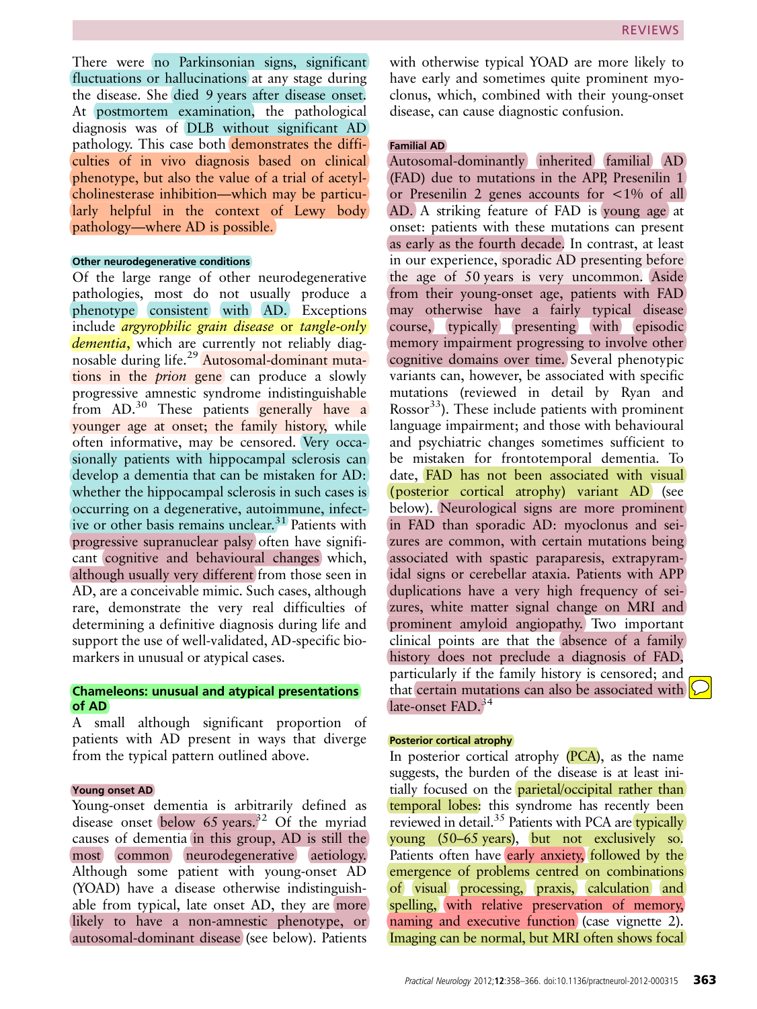There were no Parkinsonian signs, significant fluctuations or hallucinations at any stage during the disease. She died 9 years after disease onset. At postmortem examination, the pathological diagnosis was of DLB without significant AD pathology. This case both demonstrates the difficulties of in vivo diagnosis based on clinical phenotype, but also the value of a trial of acetylcholinesterase inhibition—which may be particularly helpful in the context of Lewy body pathology—where AD is possible.

### Other neurodegenerative conditions

Of the large range of other neurodegenerative pathologies, most do not usually produce a phenotype consistent with AD. Exceptions include *argyrophilic grain disease* or *tangle-only* dementia, which are currently not reliably diagnosable during life.<sup>29</sup> Autosomal-dominant mutations in the *prion* gene can produce a slowly progressive amnestic syndrome indistinguishable from AD.<sup>30</sup> These patients generally have a younger age at onset; the family history, while often informative, may be censored. Very occasionally patients with hippocampal sclerosis can develop a dementia that can be mistaken for AD: whether the hippocampal sclerosis in such cases is occurring on a degenerative, autoimmune, infective or other basis remains unclear.<sup>31</sup> Patients with progressive supranuclear palsy often have significant cognitive and behavioural changes which, although usually very different from those seen in AD, are a conceivable mimic. Such cases, although rare, demonstrate the very real difficulties of determining a definitive diagnosis during life and support the use of well-validated, AD-specific biomarkers in unusual or atypical cases.

# Chameleons: unusual and atypical presentations of AD

A small although significant proportion of patients with AD present in ways that diverge from the typical pattern outlined above.

# Young onset AD

Young-onset dementia is arbitrarily defined as disease onset below 65 years.<sup>32</sup> Of the myriad causes of dementia in this group, AD is still the most common neurodegenerative aetiology. Although some patient with young-onset AD (YOAD) have a disease otherwise indistinguishable from typical, late onset AD, they are more likely to have a non-amnestic phenotype, or autosomal-dominant disease (see below). Patients

with otherwise typical YOAD are more likely to have early and sometimes quite prominent myoclonus, which, combined with their young-onset disease, can cause diagnostic confusion.

# Familial AD

Autosomal-dominantly inherited familial AD (FAD) due to mutations in the APP, Presenilin 1 or Presenilin 2 genes accounts for <1% of all AD. A striking feature of FAD is young age at onset: patients with these mutations can present as early as the fourth decade. In contrast, at least in our experience, sporadic AD presenting before the age of 50 years is very uncommon. Aside from their young-onset age, patients with FAD may otherwise have a fairly typical disease course, typically presenting with episodic memory impairment progressing to involve other cognitive domains over time. Several phenotypic variants can, however, be associated with specific mutations (reviewed in detail by Ryan and Rossor $33$ ). These include patients with prominent language impairment; and those with behavioural and psychiatric changes sometimes sufficient to be mistaken for frontotemporal dementia. To date, FAD has not been associated with visual (posterior cortical atrophy) variant AD (see below). Neurological signs are more prominent in FAD than sporadic AD: myoclonus and seizures are common, with certain mutations being associated with spastic paraparesis, extrapyramidal signs or cerebellar ataxia. Patients with APP duplications have a very high frequency of seizures, white matter signal change on MRI and prominent amyloid angiopathy. Two important clinical points are that the absence of a family history does not preclude a diagnosis of FAD, particularly if the family history is censored; and that certain mutations can also be associated with  $\sum$ late-onset FAD.<sup>34</sup>

### Posterior cortical atrophy

In posterior cortical atrophy (PCA), as the name suggests, the burden of the disease is at least initially focused on the **parietal**/occipital rather than temporal lobes: this syndrome has recently been reviewed in detail. $35$  Patients with PCA are typically young (50–65 years), but not exclusively so. Patients often have early anxiety, followed by the emergence of problems centred on combinations of visual processing, praxis, calculation and spelling, with relative preservation of memory, naming and executive function (case vignette 2). Imaging can be normal, but MRI often shows focal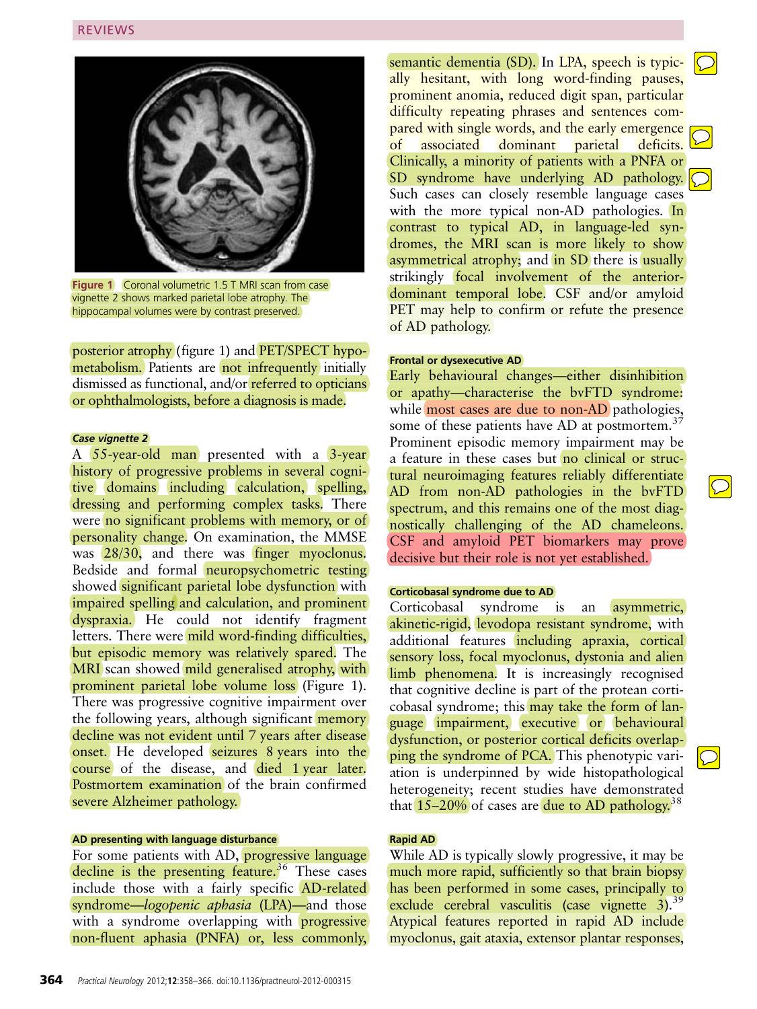

Figure 1 Coronal volumetric 1.5 T MRI scan from case vignette 2 shows marked parietal lobe atrophy. The hippocampal volumes were by contrast preserved.

posterior atrophy (figure 1) and PET/SPECT hypometabolism. Patients are not infrequently initially dismissed as functional, and/or referred to opticians or ophthalmologists, before a diagnosis is made.

A 55-year-old man presented with a 3-year history of progressive problems in several cognitive domains including calculation, spelling, dressing and performing complex tasks. There were no significant problems with memory, or of personality change. On examination, the MMSE was 28/30, and there was finger myoclonus. Bedside and formal **neuropsychometric** testing showed significant parietal lobe dysfunction with impaired spelling and calculation, and prominent dyspraxia. He could not identify fragment letters. There were mild word-finding difficulties, but episodic memory was relatively spared. The MRI scan showed mild generalised atrophy, with prominent parietal lobe volume loss (Figure 1). There was progressive cognitive impairment over the following years, although significant **memory** decline was not evident until 7 years after disease onset. He developed seizures 8 years into the course of the disease, and died 1 year later. Postmortem examination of the brain confirmed severe Alzheimer pathology.

### AD presenting with language disturbance

For some patients with AD, **progressive language** decline is the presenting feature.<sup>36</sup> These cases include those with a fairly specific AD-related syndrome—*logopenic aphasia* (LPA)—and those with a syndrome overlapping with **progressive** non-fluent aphasia (PNFA) or, less commonly, semantic dementia (SD). In LPA, speech is typically hesitant, with long word-finding pauses, prominent anomia, reduced digit span, particular difficulty repeating phrases and sentences compared with single words, and the early emergence of associated dominant parietal deficits. Clinically, a minority of patients with a PNFA or SD syndrome have underlying AD pathology. Such cases can closely resemble language cases with the more typical non-AD pathologies. In contrast to typical AD, in language-led syndromes, the MRI scan is more likely to show asymmetrical atrophy; and in SD there is usually strikingly focal involvement of the anteriordominant temporal lobe. CSF and/or amyloid PET may help to confirm or refute the presence of AD pathology.

### Frontal or dysexecutive AD

Early behavioural changes—either disinhibition or apathy—characterise the bvFTD syndrome: while most cases are due to non-AD pathologies, some of these patients have AD at postmortem.<sup>37</sup> Prominent episodic memory impairment may be a feature in these cases but no clinical or structural neuroimaging features reliably differentiate AD from non-AD pathologies in the bvFTD spectrum, and this remains one of the most diagnostically challenging of the AD chameleons. CSF and amyloid PET biomarkers may prove decisive but their role is not yet established.

### Corticobasal syndrome due to AD

Corticobasal syndrome is an **asymmetric**, akinetic-rigid, levodopa resistant syndrome, with additional features including apraxia, cortical sensory loss, focal myoclonus, dystonia and alien limb phenomena. It is increasingly recognised that cognitive decline is part of the protean corticobasal syndrome; this may take the form of language impairment, executive or behavioural dysfunction, or posterior cortical deficits overlapping the syndrome of PCA. This phenotypic variation is underpinned by wide histopathological heterogeneity; recent studies have demonstrated that  $15-20\%$  of cases are due to AD pathology.<sup>38</sup>

# Rapid AD

While AD is typically slowly progressive, it may be much more rapid, sufficiently so that brain biopsy has been performed in some cases, principally to exclude cerebral vasculitis (case vignette 3).<sup>39</sup> Atypical features reported in rapid AD include myoclonus, gait ataxia, extensor plantar responses,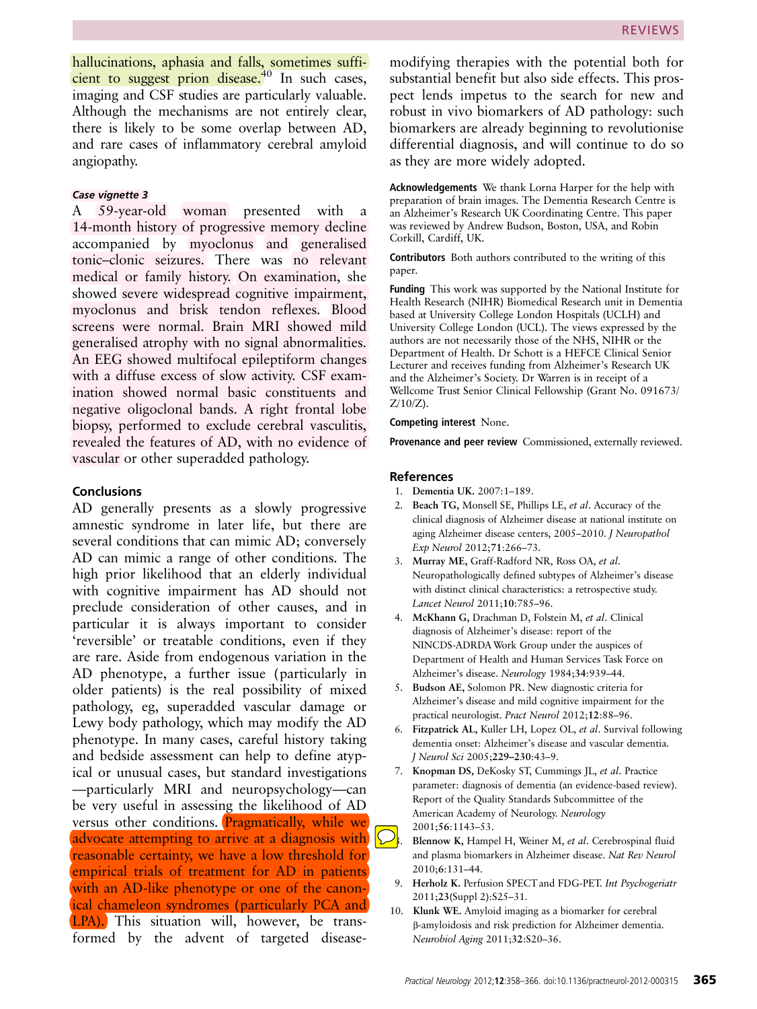hallucinations, aphasia and falls, sometimes sufficient to suggest prion disease.<sup>40</sup> In such cases, imaging and CSF studies are particularly valuable. Although the mechanisms are not entirely clear, there is likely to be some overlap between AD, and rare cases of inflammatory cerebral amyloid angiopathy.

A 59-year-old woman presented with a 14-month history of progressive memory decline accompanied by myoclonus and generalised tonic–clonic seizures. There was no relevant medical or family history. On examination, she showed severe widespread cognitive impairment, myoclonus and brisk tendon reflexes. Blood screens were normal. Brain MRI showed mild generalised atrophy with no signal abnormalities. An EEG showed multifocal epileptiform changes with a diffuse excess of slow activity. CSF examination showed normal basic constituents and negative oligoclonal bands. A right frontal lobe biopsy, performed to exclude cerebral vasculitis, revealed the features of AD, with no evidence of vascular or other superadded pathology.

# **Conclusions**

AD generally presents as a slowly progressive amnestic syndrome in later life, but there are several conditions that can mimic AD; conversely AD can mimic a range of other conditions. The high prior likelihood that an elderly individual with cognitive impairment has AD should not preclude consideration of other causes, and in particular it is always important to consider 'reversible' or treatable conditions, even if they are rare. Aside from endogenous variation in the AD phenotype, a further issue (particularly in older patients) is the real possibility of mixed pathology, eg, superadded vascular damage or Lewy body pathology, which may modify the AD phenotype. In many cases, careful history taking and bedside assessment can help to define atypical or unusual cases, but standard investigations —particularly MRI and neuropsychology—can be very useful in assessing the likelihood of AD versus other conditions. Pragmatically, while we advocate attempting to arrive at a diagnosis with  $\mathcal{D}_k$ . reasonable certainty, we have a low threshold for empirical trials of treatment for AD in patients with an AD-like phenotype or one of the canonical chameleon syndromes (particularly PCA and LPA). This situation will, however, be transformed by the advent of targeted disease-

modifying therapies with the potential both for substantial benefit but also side effects. This prospect lends impetus to the search for new and robust in vivo biomarkers of AD pathology: such biomarkers are already beginning to revolutionise differential diagnosis, and will continue to do so as they are more widely adopted.

Acknowledgements We thank Lorna Harper for the help with preparation of brain images. The Dementia Research Centre is an Alzheimer's Research UK Coordinating Centre. This paper was reviewed by Andrew Budson, Boston, USA, and Robin Corkill, Cardiff, UK.

Contributors Both authors contributed to the writing of this paper.

Funding This work was supported by the National Institute for Health Research (NIHR) Biomedical Research unit in Dementia based at University College London Hospitals (UCLH) and University College London (UCL). The views expressed by the authors are not necessarily those of the NHS, NIHR or the Department of Health. Dr Schott is a HEFCE Clinical Senior Lecturer and receives funding from Alzheimer's Research UK and the Alzheimer's Society. Dr Warren is in receipt of a Wellcome Trust Senior Clinical Fellowship (Grant No. 091673/  $Z/10/Z$ ).

### Competing interest None.

Provenance and peer review Commissioned, externally reviewed.

### References

- 1. Dementia UK. 2007:1–189.
- 2. Beach TG, Monsell SE, Phillips LE, et al. Accuracy of the clinical diagnosis of Alzheimer disease at national institute on aging Alzheimer disease centers, 2005–2010. J Neuropathol Exp Neurol 2012;71:266–73.
- 3. Murray ME, Graff-Radford NR, Ross OA, et al. Neuropathologically defined subtypes of Alzheimer's disease with distinct clinical characteristics: a retrospective study. Lancet Neurol 2011;10:785–96.
- 4. McKhann G, Drachman D, Folstein M, et al. Clinical diagnosis of Alzheimer's disease: report of the NINCDS-ADRDAWork Group under the auspices of Department of Health and Human Services Task Force on Alzheimer's disease. Neurology 1984;34:939–44.
- 5. Budson AE, Solomon PR. New diagnostic criteria for Alzheimer's disease and mild cognitive impairment for the practical neurologist. Pract Neurol 2012;12:88–96.
- 6. Fitzpatrick AL, Kuller LH, Lopez OL, et al. Survival following dementia onset: Alzheimer's disease and vascular dementia. J Neurol Sci 2005;229–230:43–9.
- 7. Knopman DS, DeKosky ST, Cummings JL, et al. Practice parameter: diagnosis of dementia (an evidence-based review). Report of the Quality Standards Subcommittee of the American Academy of Neurology. Neurology 2001;56:1143–53.
- Blennow K, Hampel H, Weiner M, et al. Cerebrospinal fluid and plasma biomarkers in Alzheimer disease. Nat Rev Neurol 2010;6:131–44.
- 9. Herholz K. Perfusion SPECT and FDG-PET. Int Psychogeriatr 2011;23(Suppl 2):S25–31.
- 10. Klunk WE. Amyloid imaging as a biomarker for cerebral β-amyloidosis and risk prediction for Alzheimer dementia. Neurobiol Aging 2011;32:S20–36.